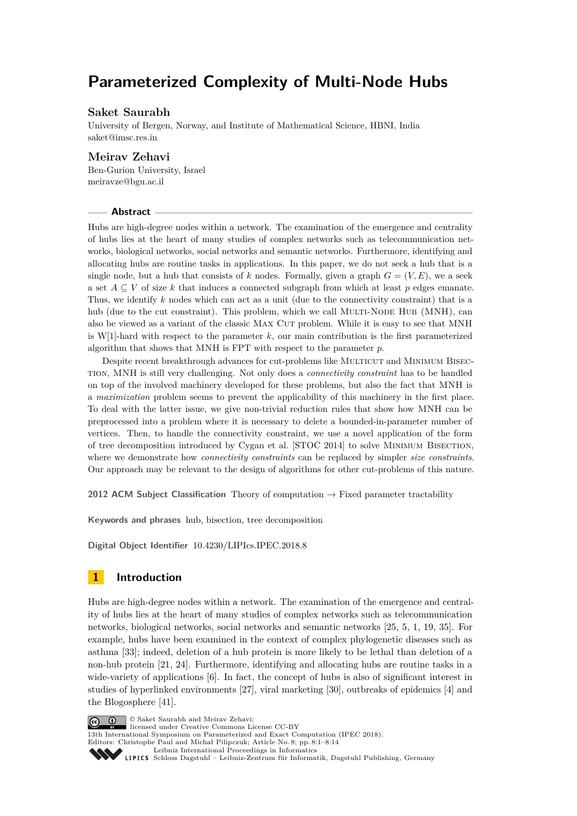# **Parameterized Complexity of Multi-Node Hubs**

## **Saket Saurabh**

University of Bergen, Norway, and Institute of Mathematical Science, HBNI, India [saket@imsc.res.in](mailto:saket@imsc.res.in)

## **Meirav Zehavi**

Ben-Gurion University, Israel [meiravze@bgu.ac.il](mailto:meiravze@bgu.ac.il)

## **Abstract**

Hubs are high-degree nodes within a network. The examination of the emergence and centrality of hubs lies at the heart of many studies of complex networks such as telecommunication networks, biological networks, social networks and semantic networks. Furthermore, identifying and allocating hubs are routine tasks in applications. In this paper, we do not seek a hub that is a single node, but a hub that consists of  $k$  nodes. Formally, given a graph  $G = (V, E)$ , we a seek a set  $A \subseteq V$  of size k that induces a connected subgraph from which at least p edges emanate. Thus, we identify *k* nodes which can act as a unit (due to the connectivity constraint) that is a hub (due to the cut constraint). This problem, which we call MULTI-NODE HUB (MNH), can also be viewed as a variant of the classic MAX CUT problem. While it is easy to see that MNH is W[1]-hard with respect to the parameter *k*, our main contribution is the first parameterized algorithm that shows that MNH is FPT with respect to the parameter *p*.

Despite recent breakthrough advances for cut-problems like Multicut and Minimum Bisection, MNH is still very challenging. Not only does a *connectivity constraint* has to be handled on top of the involved machinery developed for these problems, but also the fact that MNH is a *maximization* problem seems to prevent the applicability of this machinery in the first place. To deal with the latter issue, we give non-trivial reduction rules that show how MNH can be preprocessed into a problem where it is necessary to delete a bounded-in-parameter number of vertices. Then, to handle the connectivity constraint, we use a novel application of the form of tree decomposition introduced by Cygan et al. [STOC 2014] to solve Minimum Bisection, where we demonstrate how *connectivity constraints* can be replaced by simpler *size constraints*. Our approach may be relevant to the design of algorithms for other cut-problems of this nature.

**2012 ACM Subject Classification** Theory of computation  $\rightarrow$  Fixed parameter tractability

**Keywords and phrases** hub, bisection, tree decomposition

**Digital Object Identifier** [10.4230/LIPIcs.IPEC.2018.8](https://doi.org/10.4230/LIPIcs.IPEC.2018.8)

# **1 Introduction**

Hubs are high-degree nodes within a network. The examination of the emergence and centrality of hubs lies at the heart of many studies of complex networks such as telecommunication networks, biological networks, social networks and semantic networks [\[25,](#page-13-0) [5,](#page-12-0) [1,](#page-12-1) [19,](#page-12-2) [35\]](#page-13-1). For example, hubs have been examined in the context of complex phylogenetic diseases such as asthma [\[33\]](#page-13-2); indeed, deletion of a hub protein is more likely to be lethal than deletion of a non-hub protein [\[21,](#page-13-3) [24\]](#page-13-4). Furthermore, identifying and allocating hubs are routine tasks in a wide-variety of applications [\[6\]](#page-12-3). In fact, the concept of hubs is also of significant interest in studies of hyperlinked environments [\[27\]](#page-13-5), viral marketing [\[30\]](#page-13-6), outbreaks of epidemics [\[4\]](#page-12-4) and the Blogosphere [\[41\]](#page-13-7).

© Saket Saurabh and Meirav Zehavi;  $\boxed{6}$  0 licensed under Creative Commons License CC-BY 13th International Symposium on Parameterized and Exact Computation (IPEC 2018). Editors: Christophe Paul and Michał Pilipczuk; Article No. 8; pp. 8:1–8[:14](#page-13-8) [Leibniz International Proceedings in Informatics](http://www.dagstuhl.de/lipics/) Leibniz international ruceedings in miorimetric<br>
LIPICS [Schloss Dagstuhl – Leibniz-Zentrum für Informatik, Dagstuhl Publishing, Germany](http://www.dagstuhl.de)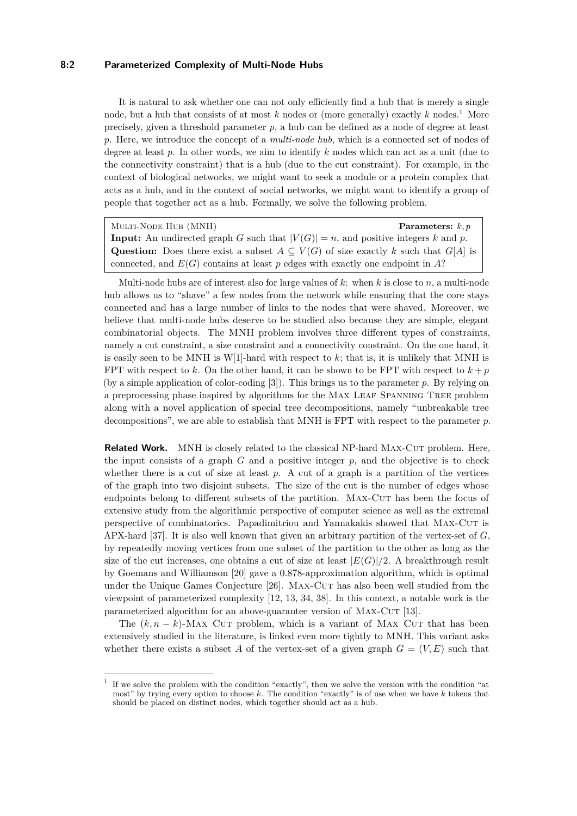## **8:2 Parameterized Complexity of Multi-Node Hubs**

It is natural to ask whether one can not only efficiently find a hub that is merely a single node, but a hub that consists of at most *k* nodes or (more generally) exactly *k* nodes.[1](#page-1-0) More precisely, given a threshold parameter *p*, a hub can be defined as a node of degree at least *p*. Here, we introduce the concept of a *multi-node hub*, which is a connected set of nodes of degree at least *p*. In other words, we aim to identify *k* nodes which can act as a unit (due to the connectivity constraint) that is a hub (due to the cut constraint). For example, in the context of biological networks, we might want to seek a module or a protein complex that acts as a hub, and in the context of social networks, we might want to identify a group of people that together act as a hub. Formally, we solve the following problem.

Multi-Node Hub (MNH) **Parameters:** *k, p* **Input:** An undirected graph *G* such that  $|V(G)| = n$ , and positive integers *k* and *p*. Question: Does there exist a subset  $A \subseteq V(G)$  of size exactly *k* such that  $G[A]$  is connected, and *E*(*G*) contains at least *p* edges with exactly one endpoint in *A*?

Multi-node hubs are of interest also for large values of *k*: when *k* is close to *n*, a multi-node hub allows us to "shave" a few nodes from the network while ensuring that the core stays connected and has a large number of links to the nodes that were shaved. Moreover, we believe that multi-node hubs deserve to be studied also because they are simple, elegant combinatorial objects. The MNH problem involves three different types of constraints, namely a cut constraint, a size constraint and a connectivity constraint. On the one hand, it is easily seen to be MNH is W[1]-hard with respect to *k*; that is, it is unlikely that MNH is FPT with respect to k. On the other hand, it can be shown to be FPT with respect to  $k + p$ (by a simple application of color-coding [\[3\]](#page-12-5)). This brings us to the parameter *p*. By relying on a preprocessing phase inspired by algorithms for the Max Leaf Spanning Tree problem along with a novel application of special tree decompositions, namely "unbreakable tree decompositions", we are able to establish that MNH is FPT with respect to the parameter *p*.

**Related Work.** MNH is closely related to the classical NP-hard MAX-CUT problem. Here, the input consists of a graph *G* and a positive integer *p*, and the objective is to check whether there is a cut of size at least *p*. A cut of a graph is a partition of the vertices of the graph into two disjoint subsets. The size of the cut is the number of edges whose endpoints belong to different subsets of the partition. Max-Cut has been the focus of extensive study from the algorithmic perspective of computer science as well as the extremal perspective of combinatorics. Papadimitriou and Yannakakis showed that Max-Cut is APX-hard [\[37\]](#page-13-9). It is also well known that given an arbitrary partition of the vertex-set of *G*, by repeatedly moving vertices from one subset of the partition to the other as long as the size of the cut increases, one obtains a cut of size at least  $|E(G)|/2$ . A breakthrough result by Goemans and Williamson [\[20\]](#page-13-10) gave a 0.878-approximation algorithm, which is optimal under the Unique Games Conjecture [\[26\]](#page-13-11). MAX-CUT has also been well studied from the viewpoint of parameterized complexity [\[12,](#page-12-6) [13,](#page-12-7) [34,](#page-13-12) [38\]](#page-13-13). In this context, a notable work is the parameterized algorithm for an above-guarantee version of MAX-CUT [\[13\]](#page-12-7).

The  $(k, n - k)$ -Max Cut problem, which is a variant of Max Cut that has been extensively studied in the literature, is linked even more tightly to MNH. This variant asks whether there exists a subset A of the vertex-set of a given graph  $G = (V, E)$  such that

<span id="page-1-0"></span><sup>1</sup> If we solve the problem with the condition "exactly", then we solve the version with the condition "at most" by trying every option to choose *k*. The condition "exactly" is of use when we have *k* tokens that should be placed on distinct nodes, which together should act as a hub.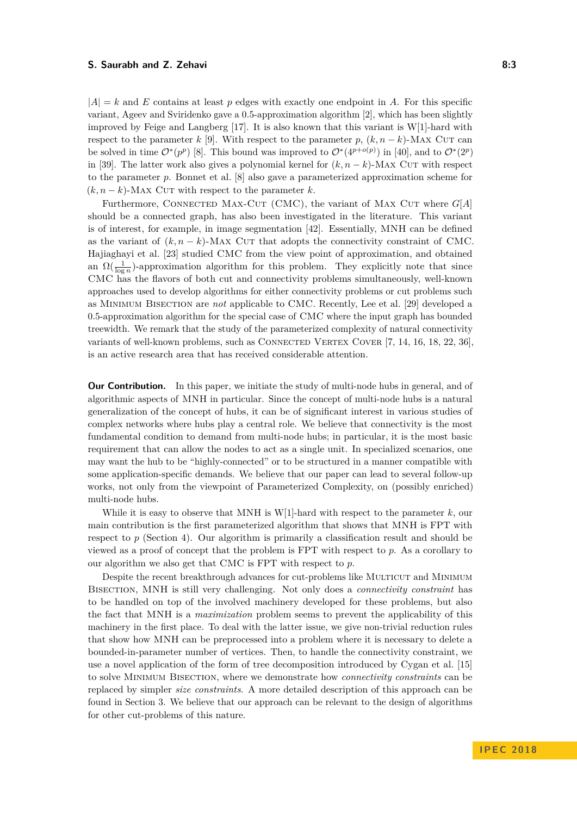$|A| = k$  and *E* contains at least *p* edges with exactly one endpoint in *A*. For this specific variant, Ageev and Sviridenko gave a 0*.*5-approximation algorithm [\[2\]](#page-12-8), which has been slightly improved by Feige and Langberg  $[17]$ . It is also known that this variant is W[1]-hard with respect to the parameter *k* [\[9\]](#page-12-10). With respect to the parameter *p*,  $(k, n - k)$ -Max Cut can be solved in time  $\mathcal{O}^*(p^p)$  [\[8\]](#page-12-11). This bound was improved to  $\mathcal{O}^*(4^{p+o(p)})$  in [\[40\]](#page-13-14), and to  $\mathcal{O}^*(2^p)$ in [\[39\]](#page-13-15). The latter work also gives a polynomial kernel for  $(k, n - k)$ -MAX CUT with respect to the parameter *p*. Bonnet et al. [\[8\]](#page-12-11) also gave a parameterized approximation scheme for  $(k, n - k)$ -Max Cut with respect to the parameter *k*.

Furthermore, CONNECTED MAX-CUT (CMC), the variant of MAX CUT where  $G[A]$ should be a connected graph, has also been investigated in the literature. This variant is of interest, for example, in image segmentation [\[42\]](#page-13-16). Essentially, MNH can be defined as the variant of  $(k, n - k)$ -Max Cur that adopts the connectivity constraint of CMC. Hajiaghayi et al. [\[23\]](#page-13-17) studied CMC from the view point of approximation, and obtained an  $\Omega(\frac{1}{\log n})$ -approximation algorithm for this problem. They explicitly note that since CMC has the flavors of both cut and connectivity problems simultaneously, well-known approaches used to develop algorithms for either connectivity problems or cut problems such as Minimum Bisection are *not* applicable to CMC. Recently, Lee et al. [\[29\]](#page-13-18) developed a 0*.*5-approximation algorithm for the special case of CMC where the input graph has bounded treewidth. We remark that the study of the parameterized complexity of natural connectivity variants of well-known problems, such as CONNECTED VERTEX COVER  $[7, 14, 16, 18, 22, 36]$  $[7, 14, 16, 18, 22, 36]$  $[7, 14, 16, 18, 22, 36]$  $[7, 14, 16, 18, 22, 36]$  $[7, 14, 16, 18, 22, 36]$  $[7, 14, 16, 18, 22, 36]$  $[7, 14, 16, 18, 22, 36]$  $[7, 14, 16, 18, 22, 36]$  $[7, 14, 16, 18, 22, 36]$  $[7, 14, 16, 18, 22, 36]$  $[7, 14, 16, 18, 22, 36]$ , is an active research area that has received considerable attention.

**Our Contribution.** In this paper, we initiate the study of multi-node hubs in general, and of algorithmic aspects of MNH in particular. Since the concept of multi-node hubs is a natural generalization of the concept of hubs, it can be of significant interest in various studies of complex networks where hubs play a central role. We believe that connectivity is the most fundamental condition to demand from multi-node hubs; in particular, it is the most basic requirement that can allow the nodes to act as a single unit. In specialized scenarios, one may want the hub to be "highly-connected" or to be structured in a manner compatible with some application-specific demands. We believe that our paper can lead to several follow-up works, not only from the viewpoint of Parameterized Complexity, on (possibly enriched) multi-node hubs.

While it is easy to observe that MNH is W[1]-hard with respect to the parameter *k*, our main contribution is the first parameterized algorithm that shows that MNH is FPT with respect to *p* (Section [4\)](#page-5-0). Our algorithm is primarily a classification result and should be viewed as a proof of concept that the problem is FPT with respect to *p*. As a corollary to our algorithm we also get that CMC is FPT with respect to *p*.

Despite the recent breakthrough advances for cut-problems like MULTICUT and MINIMUM Bisection, MNH is still very challenging. Not only does a *connectivity constraint* has to be handled on top of the involved machinery developed for these problems, but also the fact that MNH is a *maximization* problem seems to prevent the applicability of this machinery in the first place. To deal with the latter issue, we give non-trivial reduction rules that show how MNH can be preprocessed into a problem where it is necessary to delete a bounded-in-parameter number of vertices. Then, to handle the connectivity constraint, we use a novel application of the form of tree decomposition introduced by Cygan et al. [\[15\]](#page-12-16) to solve Minimum Bisection, where we demonstrate how *connectivity constraints* can be replaced by simpler *size constraints*. A more detailed description of this approach can be found in Section [3.](#page-3-0) We believe that our approach can be relevant to the design of algorithms for other cut-problems of this nature.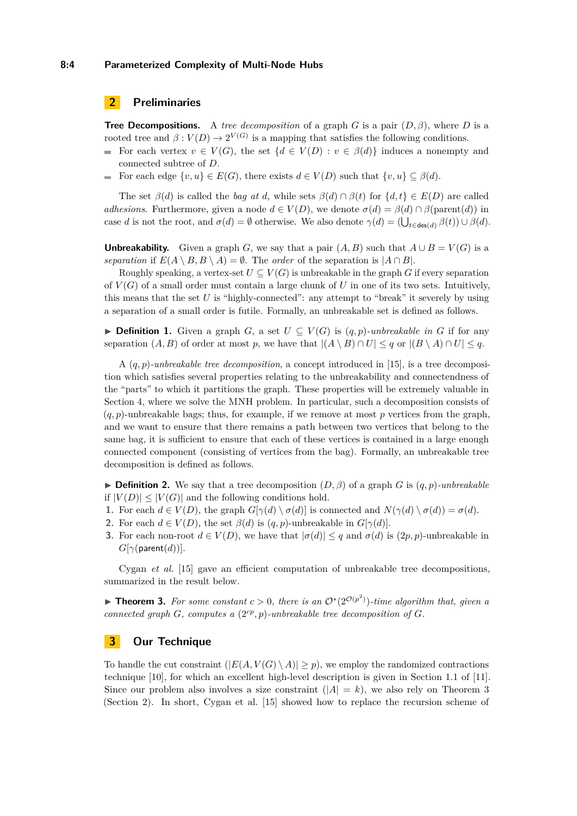# <span id="page-3-2"></span>**2 Preliminaries**

**Tree Decompositions.** A *tree decomposition* of a graph *G* is a pair (*D, β*), where *D* is a rooted tree and  $\beta: V(D) \to 2^{V(G)}$  is a mapping that satisfies the following conditions.

- For each vertex  $v \in V(G)$ , the set  $\{d \in V(D) : v \in \beta(d)\}\$  induces a nonempty and  $\blacksquare$ connected subtree of *D*.
- For each edge  $\{v, u\} \in E(G)$ , there exists  $d \in V(D)$  such that  $\{v, u\} \subseteq \beta(d)$ . m.

The set  $\beta(d)$  is called the *bag at d*, while sets  $\beta(d) \cap \beta(t)$  for  $\{d, t\} \in E(D)$  are called *adhesions*. Furthermore, given a node  $d \in V(D)$ , we denote  $\sigma(d) = \beta(d) \cap \beta(\text{parent}(d))$  in case *d* is not the root, and  $\sigma(d) = \emptyset$  otherwise. We also denote  $\gamma(d) = (\bigcup_{t \in \text{des}(d)} \beta(t)) \cup \beta(d)$ .

**Unbreakability.** Given a graph *G*, we say that a pair  $(A, B)$  such that  $A \cup B = V(G)$  is a *separation* if  $E(A \setminus B, B \setminus A) = \emptyset$ . The *order* of the separation is  $|A \cap B|$ .

Roughly speaking, a vertex-set  $U \subseteq V(G)$  is unbreakable in the graph G if every separation of  $V(G)$  of a small order must contain a large chunk of U in one of its two sets. Intuitively, this means that the set *U* is "highly-connected": any attempt to "break" it severely by using a separation of a small order is futile. Formally, an unbreakable set is defined as follows.

**► Definition 1.** Given a graph *G*, a set  $U \subseteq V(G)$  is  $(q, p)$ *-unbreakable in G* if for any separation  $(A, B)$  of order at most *p*, we have that  $|(A \setminus B) \cap U| \leq q$  or  $|(B \setminus A) \cap U| \leq q$ .

A (*q, p*)*-unbreakable tree decomposition*, a concept introduced in [\[15\]](#page-12-16), is a tree decomposition which satisfies several properties relating to the unbreakability and connectendness of the "parts" to which it partitions the graph. These properties will be extremely valuable in Section [4,](#page-5-0) where we solve the MNH problem. In particular, such a decomposition consists of  $(q, p)$ -unbreakable bags; thus, for example, if we remove at most p vertices from the graph, and we want to ensure that there remains a path between two vertices that belong to the same bag, it is sufficient to ensure that each of these vertices is contained in a large enough connected component (consisting of vertices from the bag). Formally, an unbreakable tree decomposition is defined as follows.

**If Definition 2.** We say that a tree decomposition  $(D, \beta)$  of a graph *G* is  $(q, p)$ *-unbreakable* if  $|V(D)| \leq |V(G)|$  and the following conditions hold.

- **1.** For each  $d \in V(D)$ , the graph  $G[\gamma(d) \setminus \sigma(d)]$  is connected and  $N(\gamma(d) \setminus \sigma(d)) = \sigma(d)$ .
- **2.** For each  $d \in V(D)$ , the set  $\beta(d)$  is  $(q, p)$ -unbreakable in  $G[\gamma(d)]$ .
- **3.** For each non-root  $d \in V(D)$ , we have that  $|\sigma(d)| \leq q$  and  $\sigma(d)$  is  $(2p, p)$ -unbreakable in  $G[\gamma(\text{parent}(d))].$

Cygan *et al.* [\[15\]](#page-12-16) gave an efficient computation of unbreakable tree decompositions, summarized in the result below.

<span id="page-3-1"></span>▶ **Theorem 3.** For some constant  $c > 0$ , there is an  $\mathcal{O}^*(2^{\mathcal{O}(p^2)})$ -time algorithm that, given a *connected graph G, computes a*  $(2^{cp}, p)$ *-unbreakable tree decomposition of G.* 

## <span id="page-3-0"></span>**3 Our Technique**

To handle the cut constraint  $(|E(A, V(G) \setminus A)| \geq p)$ , we employ the randomized contractions technique [\[10\]](#page-12-17), for which an excellent high-level description is given in Section 1.1 of [\[11\]](#page-12-18). Since our problem also involves a size constraint  $(|A| = k)$ , we also rely on Theorem [3](#page-3-1) (Section [2\)](#page-3-2). In short, Cygan et al. [\[15\]](#page-12-16) showed how to replace the recursion scheme of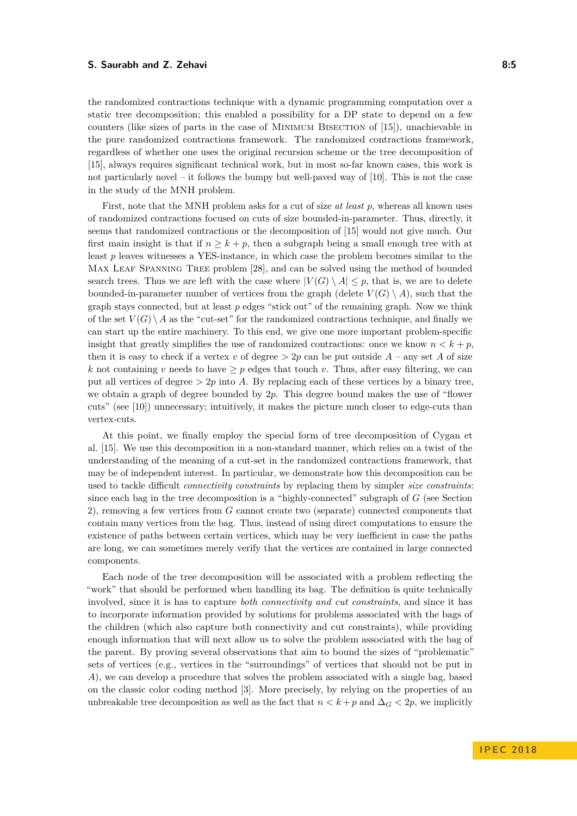the randomized contractions technique with a dynamic programming computation over a static tree decomposition; this enabled a possibility for a DP state to depend on a few counters (like sizes of parts in the case of Minimum Bisection of [\[15\]](#page-12-16)), unachievable in the pure randomized contractions framework. The randomized contractions framework, regardless of whether one uses the original recursion scheme or the tree decomposition of [\[15\]](#page-12-16), always requires significant technical work, but in most so-far known cases, this work is not particularly novel – it follows the bumpy but well-paved way of [\[10\]](#page-12-17). This is not the case in the study of the MNH problem.

First, note that the MNH problem asks for a cut of size *at least p*, whereas all known uses of randomized contractions focused on cuts of size bounded-in-parameter. Thus, directly, it seems that randomized contractions or the decomposition of [\[15\]](#page-12-16) would not give much. Our first main insight is that if  $n \geq k + p$ , then a subgraph being a small enough tree with at least *p* leaves witnesses a YES-instance, in which case the problem becomes similar to the MAX LEAF SPANNING TREE problem [\[28\]](#page-13-21), and can be solved using the method of bounded search trees. Thus we are left with the case where  $|V(G) \setminus A| \leq p$ , that is, we are to delete bounded-in-parameter number of vertices from the graph (delete  $V(G) \setminus A$ ), such that the graph stays connected, but at least *p* edges "stick out" of the remaining graph. Now we think of the set  $V(G) \setminus A$  as the "cut-set" for the randomized contractions technique, and finally we can start up the entire machinery. To this end, we give one more important problem-specific insight that greatly simplifies the use of randomized contractions: once we know  $n < k + p$ , then it is easy to check if a vertex *v* of degree  $> 2p$  can be put outside  $A$  – any set  $A$  of size *k* not containing *v* needs to have  $\geq p$  edges that touch *v*. Thus, after easy filtering, we can put all vertices of degree  $> 2p$  into A. By replacing each of these vertices by a binary tree, we obtain a graph of degree bounded by 2*p*. This degree bound makes the use of "flower cuts" (see [\[10\]](#page-12-17)) unnecessary; intuitively, it makes the picture much closer to edge-cuts than vertex-cuts.

At this point, we finally employ the special form of tree decomposition of Cygan et al. [\[15\]](#page-12-16). We use this decomposition in a non-standard manner, which relies on a twist of the understanding of the meaning of a cut-set in the randomized contractions framework, that may be of independent interest. In particular, we demonstrate how this decomposition can be used to tackle difficult *connectivity constraints* by replacing them by simpler *size constraints*: since each bag in the tree decomposition is a "highly-connected" subgraph of *G* (see Section [2\)](#page-3-2), removing a few vertices from *G* cannot create two (separate) connected components that contain many vertices from the bag. Thus, instead of using direct computations to ensure the existence of paths between certain vertices, which may be very inefficient in case the paths are long, we can sometimes merely verify that the vertices are contained in large connected components.

Each node of the tree decomposition will be associated with a problem reflecting the "work" that should be performed when handling its bag. The definition is quite technically involved, since it is has to capture *both connectivity and cut constraints*, and since it has to incorporate information provided by solutions for problems associated with the bags of the children (which also capture both connectivity and cut constraints), while providing enough information that will next allow us to solve the problem associated with the bag of the parent. By proving several observations that aim to bound the sizes of "problematic" sets of vertices (e.g., vertices in the "surroundings" of vertices that should not be put in *A*), we can develop a procedure that solves the problem associated with a single bag, based on the classic color coding method [\[3\]](#page-12-5). More precisely, by relying on the properties of an unbreakable tree decomposition as well as the fact that  $n < k+p$  and  $\Delta_G < 2p$ , we implicitly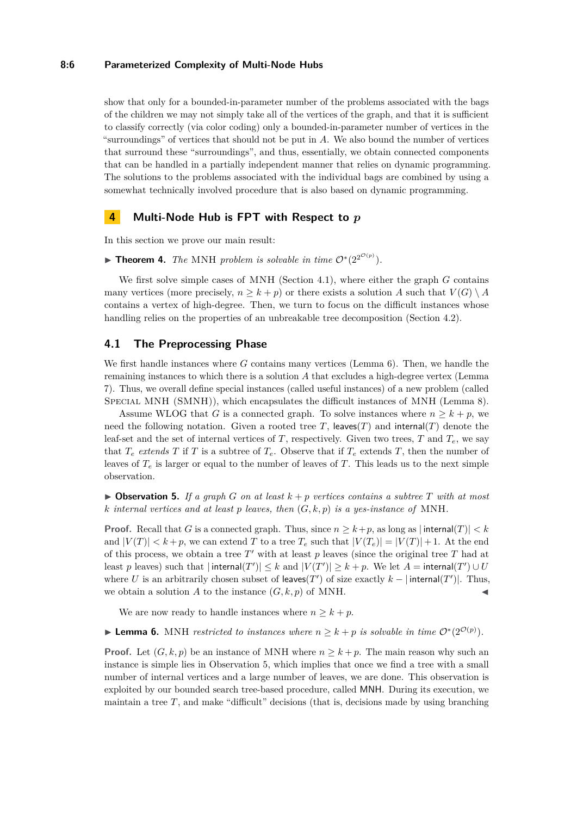## **8:6 Parameterized Complexity of Multi-Node Hubs**

show that only for a bounded-in-parameter number of the problems associated with the bags of the children we may not simply take all of the vertices of the graph, and that it is sufficient to classify correctly (via color coding) only a bounded-in-parameter number of vertices in the "surroundings" of vertices that should not be put in *A*. We also bound the number of vertices that surround these "surroundings", and thus, essentially, we obtain connected components that can be handled in a partially independent manner that relies on dynamic programming. The solutions to the problems associated with the individual bags are combined by using a somewhat technically involved procedure that is also based on dynamic programming.

## <span id="page-5-0"></span>**4 Multi-Node Hub is FPT with Respect to** *p*

In this section we prove our main result:

▶ **Theorem 4.** The MNH problem is solvable in time  $O^*(2^{2^{O(p)}})$ .

We first solve simple cases of MNH (Section [4.1\)](#page-5-1), where either the graph *G* contains many vertices (more precisely,  $n \geq k + p$ ) or there exists a solution *A* such that  $V(G) \setminus A$ contains a vertex of high-degree. Then, we turn to focus on the difficult instances whose handling relies on the properties of an unbreakable tree decomposition (Section [4.2\)](#page-7-0).

## <span id="page-5-1"></span>**4.1 The Preprocessing Phase**

We first handle instances where *G* contains many vertices (Lemma [6\)](#page-5-2). Then, we handle the remaining instances to which there is a solution *A* that excludes a high-degree vertex (Lemma [7\)](#page-6-0). Thus, we overall define special instances (called useful instances) of a new problem (called SPECIAL MNH (SMNH)), which encapsulates the difficult instances of MNH (Lemma [8\)](#page-7-1).

Assume WLOG that *G* is a connected graph. To solve instances where  $n \geq k + p$ , we need the following notation. Given a rooted tree T, leaves(T) and internal(T) denote the leaf-set and the set of internal vertices of  $T$ , respectively. Given two trees,  $T$  and  $T_e$ , we say that  $T_e$  *extends*  $T$  if  $T$  is a subtree of  $T_e$ . Observe that if  $T_e$  extends  $T$ , then the number of leaves of  $T_e$  is larger or equal to the number of leaves of  $T_e$ . This leads us to the next simple observation.

<span id="page-5-3"></span> $\triangleright$  **Observation 5.** If a graph *G* on at least  $k + p$  vertices contains a subtree *T* with at most *k internal vertices and at least p leaves, then* (*G, k, p*) *is a yes-instance of* MNH*.*

**Proof.** Recall that *G* is a connected graph. Thus, since  $n \geq k+p$ , as long as  $|\text{internal}(T)| < k$ and  $|V(T)| < k+p$ , we can extend T to a tree  $T_e$  such that  $|V(T_e)| = |V(T)| + 1$ . At the end of this process, we obtain a tree  $T'$  with at least  $p$  leaves (since the original tree  $T$  had at least *p* leaves) such that  $|\text{internal}(T')| \leq k$  and  $|V(T')| \geq k + p$ . We let  $A = \text{internal}(T') \cup U$ where *U* is an arbitrarily chosen subset of leaves(*T'*) of size exactly  $k - |\text{internal}(T')|$ . Thus, we obtain a solution *A* to the instance  $(G, k, p)$  of MNH.

We are now ready to handle instances where  $n \geq k + p$ .

<span id="page-5-2"></span>► Lemma 6. MNH *restricted to instances where*  $n \geq k + p$  *is solvable in time*  $\mathcal{O}^*(2^{\mathcal{O}(p)})$ *.* 

**Proof.** Let  $(G, k, p)$  be an instance of MNH where  $n \geq k + p$ . The main reason why such an instance is simple lies in Observation [5,](#page-5-3) which implies that once we find a tree with a small number of internal vertices and a large number of leaves, we are done. This observation is exploited by our bounded search tree-based procedure, called MNH. During its execution, we maintain a tree  $T$ , and make "difficult" decisions (that is, decisions made by using branching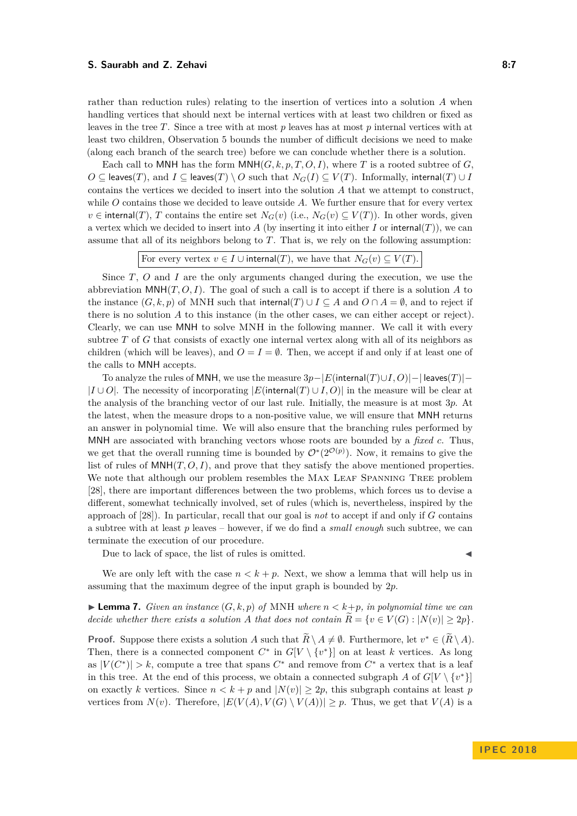rather than reduction rules) relating to the insertion of vertices into a solution *A* when handling vertices that should next be internal vertices with at least two children or fixed as leaves in the tree *T*. Since a tree with at most *p* leaves has at most *p* internal vertices with at least two children, Observation [5](#page-5-3) bounds the number of difficult decisions we need to make (along each branch of the search tree) before we can conclude whether there is a solution.

Each call to MNH has the form  $\text{MNH}(G, k, p, T, O, I)$ , where *T* is a rooted subtree of *G*.  $O \subseteq$  leaves(*T*), and  $I \subseteq$  leaves(*T*) \  $O$  such that  $N_G(I) \subseteq V(T)$ . Informally, internal(*T*) ∪ *I* contains the vertices we decided to insert into the solution *A* that we attempt to construct, while *O* contains those we decided to leave outside *A*. We further ensure that for every vertex  $v \in$  internal(*T*), *T* contains the entire set  $N_G(v)$  (i.e.,  $N_G(v) \subseteq V(T)$ ). In other words, given a vertex which we decided to insert into *A* (by inserting it into either *I* or internal(*T*)), we can assume that all of its neighbors belong to *T*. That is, we rely on the following assumption:

```
For every vertex v \in I \cup \text{internal}(T), we have that N_G(v) \subseteq V(T).
```
Since *T*, *O* and *I* are the only arguments changed during the execution, we use the abbreviation  $\text{MNH}(T, O, I)$ . The goal of such a call is to accept if there is a solution A to the instance  $(G, k, p)$  of MNH such that internal(*T*) ∪ *I* ⊂ *A* and *O* ∩ *A* =  $\emptyset$ , and to reject if there is no solution *A* to this instance (in the other cases, we can either accept or reject). Clearly, we can use MNH to solve MNH in the following manner. We call it with every subtree *T* of *G* that consists of exactly one internal vertex along with all of its neighbors as children (which will be leaves), and  $O = I = \emptyset$ . Then, we accept if and only if at least one of the calls to MNH accepts.

To analyze the rules of MNH, we use the measure 3*p*−|*E*(internal(*T*)∪*I, O*)|−| leaves(*T*)|−  $|I ∪ O|$ . The necessity of incorporating  $|E$ (internal(*T*) ∪ *I*, *O*)| in the measure will be clear at the analysis of the branching vector of our last rule. Initially, the measure is at most 3*p*. At the latest, when the measure drops to a non-positive value, we will ensure that MNH returns an answer in polynomial time. We will also ensure that the branching rules performed by MNH are associated with branching vectors whose roots are bounded by a *fixed c*. Thus, we get that the overall running time is bounded by  $\mathcal{O}^*(2^{\mathcal{O}(p)})$ . Now, it remains to give the list of rules of  $MNH(T, O, I)$ , and prove that they satisfy the above mentioned properties. We note that although our problem resembles the MAX LEAF SPANNING TREE problem [\[28\]](#page-13-21), there are important differences between the two problems, which forces us to devise a different, somewhat technically involved, set of rules (which is, nevertheless, inspired by the approach of [\[28\]](#page-13-21)). In particular, recall that our goal is *not* to accept if and only if *G* contains a subtree with at least *p* leaves – however, if we do find a *small enough* such subtree, we can terminate the execution of our procedure.

Due to lack of space, the list of rules is omitted.

We are only left with the case  $n < k + p$ . Next, we show a lemma that will help us in assuming that the maximum degree of the input graph is bounded by 2*p*.

<span id="page-6-0"></span> $\blacktriangleright$  **Lemma 7.** *Given an instance*  $(G, k, p)$  *of* MNH *where*  $n < k+p$ *, in polynomial time we can decide whether there exists a solution A that does not contain*  $\widetilde{R} = \{v \in V(G) : |N(v)| \geq 2p\}.$ 

**Proof.** Suppose there exists a solution *A* such that  $\widetilde{R} \setminus A \neq \emptyset$ . Furthermore, let  $v^* \in (\widetilde{R} \setminus A)$ . Then, there is a connected component  $C^*$  in  $G[V \setminus \{v^*\}]$  on at least *k* vertices. As long as  $|V(C^*)| > k$ , compute a tree that spans  $C^*$  and remove from  $C^*$  a vertex that is a leaf in this tree. At the end of this process, we obtain a connected subgraph *A* of  $G[V \setminus \{v^*\}]$ on exactly *k* vertices. Since  $n < k + p$  and  $|N(v)| \geq 2p$ , this subgraph contains at least *p* vertices from  $N(v)$ . Therefore,  $|E(V(A), V(G) \setminus V(A))| \geq p$ . Thus, we get that  $V(A)$  is a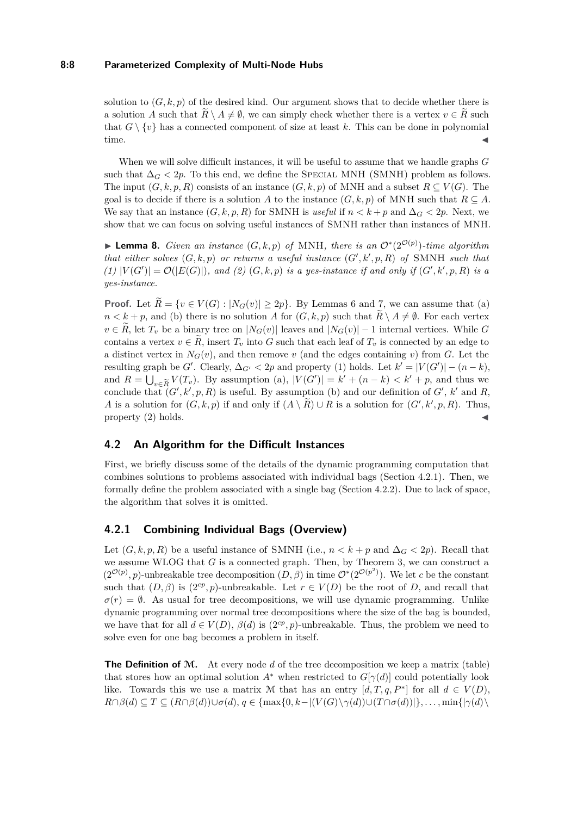## **8:8 Parameterized Complexity of Multi-Node Hubs**

solution to  $(G, k, p)$  of the desired kind. Our argument shows that to decide whether there is a solution *A* such that  $\widetilde{R} \setminus A \neq \emptyset$ , we can simply check whether there is a vertex  $v \in \widetilde{R}$  such that  $G \setminus \{v\}$  has a connected component of size at least k. This can be done in polynomial  $time.$ 

When we will solve difficult instances, it will be useful to assume that we handle graphs *G* such that  $\Delta_G$  < 2*p*. To this end, we define the SPECIAL MNH (SMNH) problem as follows. The input  $(G, k, p, R)$  consists of an instance  $(G, k, p)$  of MNH and a subset  $R \subseteq V(G)$ . The goal is to decide if there is a solution *A* to the instance  $(G, k, p)$  of MNH such that  $R \subseteq A$ . We say that an instance  $(G, k, p, R)$  for SMNH is *useful* if  $n < k + p$  and  $\Delta_G < 2p$ . Next, we show that we can focus on solving useful instances of SMNH rather than instances of MNH.

<span id="page-7-1"></span>▶ **Lemma 8.** *Given an instance*  $(G, k, p)$  *of* MNH, there is an  $\mathcal{O}^*(2^{\mathcal{O}(p)})$ -time algorithm *that either solves*  $(G, k, p)$  *or returns a useful instance*  $(G', k', p, R)$  *of* SMNH *such that*  $(1)$   $|V(G')| = \mathcal{O}(|E(G)|)$ , and (2)  $(G, k, p)$  *is a yes-instance if and only if*  $(G', k', p, R)$  *is a yes-instance.*

**Proof.** Let  $R = \{v \in V(G) : |N_G(v)| \geq 2p\}$ . By Lemmas [6](#page-5-2) and [7,](#page-6-0) we can assume that (a)  $n < k+p$ , and (b) there is no solution *A* for  $(G, k, p)$  such that  $\widetilde{R} \setminus A \neq \emptyset$ . For each vertex  $v \in R$ , let  $T_v$  be a binary tree on  $|N_G(v)|$  leaves and  $|N_G(v)| - 1$  internal vertices. While *G* contains a vertex  $v \in \mathbb{R}$ , insert  $T_v$  into G such that each leaf of  $T_v$  is connected by an edge to a distinct vertex in  $N_G(v)$ , and then remove  $v$  (and the edges containing  $v$ ) from  $G$ . Let the resulting graph be *G'*. Clearly,  $\Delta_{G'} < 2p$  and property (1) holds. Let  $k' = |V(G')| - (n - k)$ , and  $R = \bigcup_{v \in \widetilde{R}} V(T_v)$ . By assumption (a),  $|V(G')| = k' + (n - k) < k' + p$ , and thus we conclude that  $(G', k', p, R)$  is useful. By assumption (b) and our definition of  $G'$ ,  $k'$  and  $R$ , *A* is a solution for  $(G, k, p)$  if and only if  $(A \setminus \widetilde{R}) \cup R$  is a solution for  $(G', k', p, R)$ . Thus, property (2) holds.

# <span id="page-7-0"></span>**4.2 An Algorithm for the Difficult Instances**

First, we briefly discuss some of the details of the dynamic programming computation that combines solutions to problems associated with individual bags (Section [4.2.1\)](#page-7-2). Then, we formally define the problem associated with a single bag (Section [4.2.2\)](#page-9-0). Due to lack of space, the algorithm that solves it is omitted.

# <span id="page-7-2"></span>**4.2.1 Combining Individual Bags (Overview)**

Let  $(G, k, p, R)$  be a useful instance of SMNH (i.e.,  $n < k + p$  and  $\Delta_G < 2p$ ). Recall that we assume WLOG that *G* is a connected graph. Then, by Theorem [3,](#page-3-1) we can construct a  $(2^{\mathcal{O}(p)}, p)$ -unbreakable tree decomposition  $(D, \beta)$  in time  $\mathcal{O}^*(2^{\mathcal{O}(p^2)})$ . We let *c* be the constant such that  $(D, \beta)$  is  $(2^{cp}, p)$ -unbreakable. Let  $r \in V(D)$  be the root of *D*, and recall that  $\sigma(r) = \emptyset$ . As usual for tree decompositions, we will use dynamic programming. Unlike dynamic programming over normal tree decompositions where the size of the bag is bounded, we have that for all  $d \in V(D)$ ,  $\beta(d)$  is  $(2^{cp}, p)$ -unbreakable. Thus, the problem we need to solve even for one bag becomes a problem in itself.

**The Definition of** M**.** At every node *d* of the tree decomposition we keep a matrix (table) that stores how an optimal solution  $A^*$  when restricted to  $G[\gamma(d)]$  could potentially look like. Towards this we use a matrix M that has an entry  $[d, T, q, P^*]$  for all  $d \in V(D)$ ,  $R \cap \beta(d) \subseteq T \subseteq (R \cap \beta(d)) \cup \sigma(d), q \in \{\max\{0, k - |(V(G) \setminus \gamma(d)) \cup (T \cap \sigma(d))|\}, \ldots, \min\{|\gamma(d) \setminus \gamma(d)|\}\}$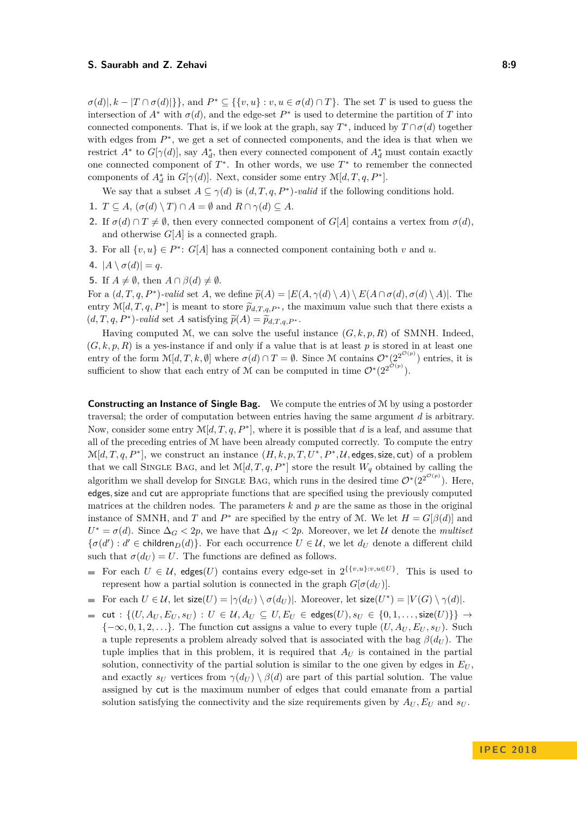$\sigma(d)|, k - |T \cap \sigma(d)|\},$  and  $P^* \subseteq \{\{v, u\} : v, u \in \sigma(d) \cap T\}.$  The set *T* is used to guess the intersection of  $A^*$  with  $\sigma(d)$ , and the edge-set  $P^*$  is used to determine the partition of *T* into connected components. That is, if we look at the graph, say  $T^*$ , induced by  $T \cap \sigma(d)$  together with edges from  $P^*$ , we get a set of connected components, and the idea is that when we restrict  $A^*$  to  $G[\gamma(d)]$ , say  $A_d^*$ , then every connected component of  $A_d^*$  must contain exactly one connected component of  $T^*$ . In other words, we use  $T^*$  to remember the connected components of  $A_d^*$  in  $G[\gamma(d)]$ . Next, consider some entry  $\mathcal{M}[d, T, q, P^*]$ .

We say that a subset  $A \subseteq \gamma(d)$  is  $(d, T, q, P^*)$ -valid if the following conditions hold.

- **1.**  $T \subseteq A$ ,  $(\sigma(d) \setminus T) \cap A = \emptyset$  and  $R \cap \gamma(d) \subseteq A$ .
- **2.** If  $\sigma(d) \cap T \neq \emptyset$ , then every connected component of *G[A]* contains a vertex from  $\sigma(d)$ , and otherwise *G*[*A*] is a connected graph.
- **3.** For all  $\{v, u\} \in P^*$ :  $G[A]$  has a connected component containing both *v* and *u*.
- **4.**  $|A \setminus \sigma(d)| = q$ .
- **5.** If  $A \neq \emptyset$ , then  $A \cap \beta(d) \neq \emptyset$ .

For a  $(d, T, q, P^*)$ -valid set *A*, we define  $\widetilde{p}(A) = |E(A, \gamma(d) \setminus A) \setminus E(A \cap \sigma(d), \sigma(d) \setminus A)|$ . The entry  $\mathcal{M}[d, T, q, P^*]$  is meant to store  $\widetilde{p}_{d,T,q,P^*}$ , the maximum value such that there exists a  $(d, T, q, P^*)$  use is a set of sing  $\widetilde{\alpha}(A)$ .  $(d, T, q, P^*)$ -valid set *A* satisfying  $\tilde{p}(A) = \tilde{p}_{d,T,q,P^*}$ .

Having computed M, we can solve the useful instance  $(G, k, p, R)$  of SMNH. Indeed,  $(G, k, p, R)$  is a yes-instance if and only if a value that is at least *p* is stored in at least one entry of the form  $\mathcal{M}[d, T, k, \emptyset]$  where  $\sigma(d) \cap T = \emptyset$ . Since M contains  $\mathcal{O}^*(2^{2^{\mathcal{O}(p)}})$  entries, it is sufficient to show that each entry of M can be computed in time  $\mathcal{O}^*(2^{2^{\mathcal{O}(p)}})$ .

**Constructing an Instance of Single Bag.** We compute the entries of M by using a postorder traversal; the order of computation between entries having the same argument *d* is arbitrary. Now, consider some entry  $\mathcal{M}[d, T, q, P^*]$ , where it is possible that *d* is a leaf, and assume that all of the preceding entries of M have been already computed correctly. To compute the entry  $\mathcal{M}[d, T, q, P^*]$ , we construct an instance  $(H, k, p, T, U^*, P^*, \mathcal{U}, \text{edges}, \text{size}, \text{cut})$  of a problem that we call SINGLE BAG, and let  $\mathcal{M}[d, T, q, P^*]$  store the result  $W_q$  obtained by calling the algorithm we shall develop for SINGLE BAG, which runs in the desired time  $\mathcal{O}^*(2^{2^{\mathcal{O}(p)}})$ . Here, edges*,*size and cut are appropriate functions that are specified using the previously computed matrices at the children nodes. The parameters  $k$  and  $p$  are the same as those in the original instance of SMNH, and *T* and  $P^*$  are specified by the entry of *M*. We let  $H = G[\beta(d)]$  and  $U^* = \sigma(d)$ . Since  $\Delta_G < 2p$ , we have that  $\Delta_H < 2p$ . Moreover, we let U denote the *multiset*  ${\{\sigma(d') : d' \in \text{children}_D(d)\}}$ . For each occurrence  $U \in \mathcal{U}$ , we let  $d_U$  denote a different child such that  $\sigma(d_U) = U$ . The functions are defined as follows.

- For each  $U \in \mathcal{U}$ , edges(*U*) contains every edge-set in  $2^{\{\{v,u\}:v,u \in U\}}$ . This is used to represent how a partial solution is connected in the graph  $G[\sigma(d_U)]$ .
- For each  $U \in \mathcal{U}$ , let  $\textsf{size}(U) = |\gamma(d_U) \setminus \sigma(d_U)|$ . Moreover, let  $\textsf{size}(U^*) = |V(G) \setminus \gamma(d)|$ .
- $\blacksquare$  cut : { $(U, A_U, E_U, s_U)$  :  $U ∈ U, A_U ⊆ U, E_U ∈ \text{edges}(U), s_U ∈ {0, 1, ..., size(U)}$ }} →  ${-\infty, 0, 1, 2, \ldots}$ . The function cut assigns a value to every tuple  $(U, A_U, E_U, s_U)$ . Such a tuple represents a problem already solved that is associated with the bag  $\beta(d_U)$ . The tuple implies that in this problem, it is required that  $A_U$  is contained in the partial solution, connectivity of the partial solution is similar to the one given by edges in  $E_U$ . and exactly  $s_U$  vertices from  $\gamma(d_U) \setminus \beta(d)$  are part of this partial solution. The value assigned by cut is the maximum number of edges that could emanate from a partial solution satisfying the connectivity and the size requirements given by  $A_U, E_U$  and  $s_U$ .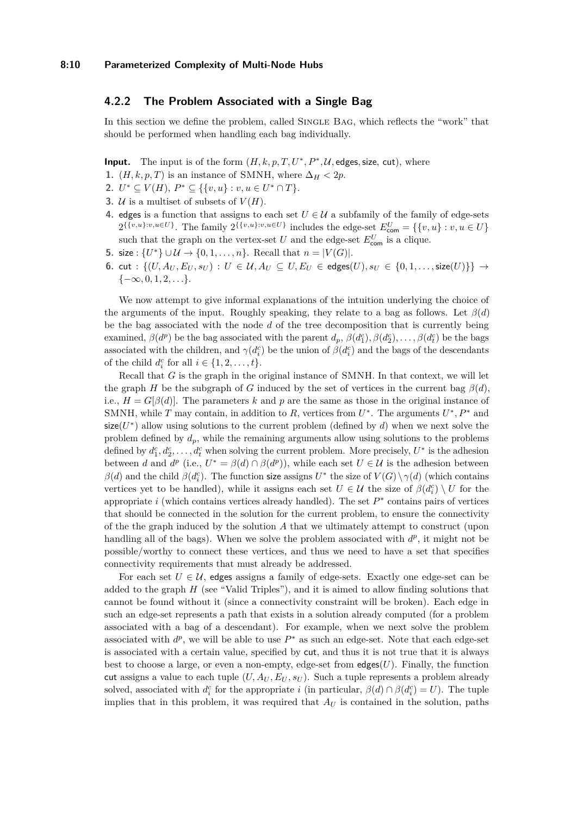## <span id="page-9-0"></span>**4.2.2 The Problem Associated with a Single Bag**

In this section we define the problem, called SINGLE BAG, which reflects the "work" that should be performed when handling each bag individually.

**Input.** The input is of the form  $(H, k, p, T, U^*, P^*, U,$  edges, size, cut), where

- 1.  $(H, k, p, T)$  is an instance of SMNH, where  $\Delta_H < 2p$ .
- 2.  $U^* \subseteq V(H), P^* \subseteq \{\{v, u\} : v, u \in U^* \cap T\}.$
- **3.**  $U$  is a multiset of subsets of  $V(H)$ .
- **4.** edges is a function that assigns to each set  $U \in \mathcal{U}$  a subfamily of the family of edge-sets  $2^{\{\{v,u\}:v,u\in U\}}$ . The family  $2^{\{\{v,u\}:v,u\in U\}}$  includes the edge-set  $E_{\text{com}}^U = \{\{v,u\}:v,u\in U\}$ such that the graph on the vertex-set  $U$  and the edge-set  $E_{\text{com}}^{U}$  is a clique.
- **5.** size : {*U*<sup>\*</sup>}∪ $\mathcal{U}$  → {0,1, ..., *n*}. Recall that *n* = |*V*(*G*)|.
- **6.** cut : { $(U, A_U, E_U, s_U)$  :  $U ∈ U, A_U ⊆ U, E_U ∈ \text{edges}(U), s_U ∈ {0, 1, ..., \text{size}(U)}$ } → {−∞*,* 0*,* 1*,* 2*, . . .*}.

We now attempt to give informal explanations of the intuition underlying the choice of the arguments of the input. Roughly speaking, they relate to a bag as follows. Let *β*(*d*) be the bag associated with the node *d* of the tree decomposition that is currently being examined,  $\beta(d^p)$  be the bag associated with the parent  $d_p$ ,  $\beta(d_1^c), \beta(d_2^c), \ldots, \beta(d_t^c)$  be the bags associated with the children, and  $\gamma(d_i^c)$  be the union of  $\beta(d_i^c)$  and the bags of the descendants of the child  $d_i^c$  for all  $i \in \{1, 2, \ldots, t\}.$ 

Recall that *G* is the graph in the original instance of SMNH. In that context, we will let the graph *H* be the subgraph of *G* induced by the set of vertices in the current bag  $\beta(d)$ , i.e.,  $H = G[\beta(d)]$ . The parameters k and p are the same as those in the original instance of SMNH, while *T* may contain, in addition to *R*, vertices from  $U^*$ . The arguments  $U^*, P^*$  and  $size(U^*)$  allow using solutions to the current problem (defined by  $d$ ) when we next solve the problem defined by *dp*, while the remaining arguments allow using solutions to the problems defined by  $d_1^c, d_2^c, \ldots, d_t^c$  when solving the current problem. More precisely,  $U^*$  is the adhesion between *d* and *d*<sup>*p*</sup> (i.e.,  $U^* = \beta(d) \cap \beta(d^p)$ ), while each set  $U \in \mathcal{U}$  is the adhesion between *β*(*d*) and the child *β*(*d*<sup>*c*</sup><sub>*i*</sub>). The function size assigns *U*<sup>\*</sup> the size of *V*(*G*)  $\setminus \gamma$ (*d*) (which contains vertices yet to be handled), while it assigns each set  $U \in \mathcal{U}$  the size of  $\beta(d_i^c) \setminus U$  for the appropriate  $i$  (which contains vertices already handled). The set  $P^*$  contains pairs of vertices that should be connected in the solution for the current problem, to ensure the connectivity of the the graph induced by the solution *A* that we ultimately attempt to construct (upon handling all of the bags). When we solve the problem associated with  $d^p$ , it might not be possible/worthy to connect these vertices, and thus we need to have a set that specifies connectivity requirements that must already be addressed.

For each set  $U \in \mathcal{U}$ , edges assigns a family of edge-sets. Exactly one edge-set can be added to the graph *H* (see "Valid Triples"), and it is aimed to allow finding solutions that cannot be found without it (since a connectivity constraint will be broken). Each edge in such an edge-set represents a path that exists in a solution already computed (for a problem associated with a bag of a descendant). For example, when we next solve the problem associated with  $d^p$ , we will be able to use  $P^*$  as such an edge-set. Note that each edge-set is associated with a certain value, specified by cut, and thus it is not true that it is always best to choose a large, or even a non-empty, edge-set from  $\text{edges}(U)$ . Finally, the function cut assigns a value to each tuple  $(U, A_U, E_U, s_U)$ . Such a tuple represents a problem already solved, associated with  $d_i^c$  for the appropriate *i* (in particular,  $\beta(d) \cap \beta(d_i^c) = U$ ). The tuple implies that in this problem, it was required that *A<sup>U</sup>* is contained in the solution, paths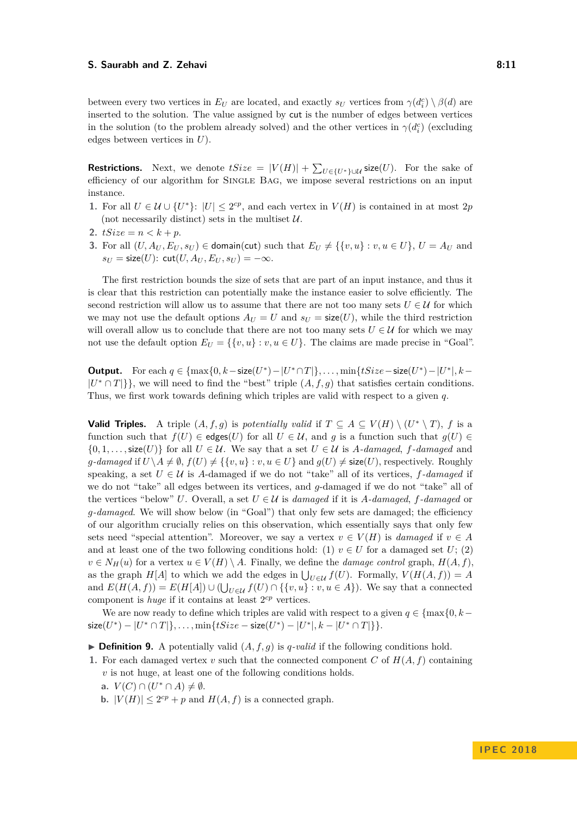between every two vertices in  $E_U$  are located, and exactly  $s_U$  vertices from  $\gamma(d_i^c) \setminus \beta(d)$  are inserted to the solution. The value assigned by cut is the number of edges between vertices in the solution (to the problem already solved) and the other vertices in  $\gamma(d_i^c)$  (excluding edges between vertices in *U*).

**Restrictions.** Next, we denote  $tSize = |V(H)| + \sum_{U \in \{U^*\} \cup \mathcal{U}} \mathsf{size}(U)$ . For the sake of efficiency of our algorithm for Single Bag, we impose several restrictions on an input instance.

- **1.** For all  $U \in \mathcal{U} \cup \{U^*\}$ :  $|U| \leq 2^{cp}$ , and each vertex in  $V(H)$  is contained in at most 2*p* (not necessarily distinct) sets in the multiset  $U$ .
- **2.**  $tSize = n < k + p$ .
- **3.** For all  $(U, A_U, E_U, s_U) \in \text{domain}(cut) \text{ such that } E_U \neq \{\{v, u\} : v, u \in U\}, U = A_U \text{ and }$  $s_U = \text{size}(U)$ :  $\text{cut}(U, A_U, E_U, s_U) = -\infty$ .

The first restriction bounds the size of sets that are part of an input instance, and thus it is clear that this restriction can potentially make the instance easier to solve efficiently. The second restriction will allow us to assume that there are not too many sets  $U \in \mathcal{U}$  for which we may not use the default options  $A_U = U$  and  $s_U = \text{size}(U)$ , while the third restriction will overall allow us to conclude that there are not too many sets  $U \in \mathcal{U}$  for which we may not use the default option  $E_U = \{\{v, u\} : v, u \in U\}$ . The claims are made precise in "Goal".

**Output.** For each  $q \in \{\max\{0, k - \text{size}(U^*) - |U^* \cap T|\}, \ldots, \min\{tSize - \text{size}(U^*) - |U^*|, k - \}$  $|U^* \cap T|$ }, we will need to find the "best" triple  $(A, f, g)$  that satisfies certain conditions. Thus, we first work towards defining which triples are valid with respect to a given *q*.

**Valid Triples.** A triple  $(A, f, g)$  is *potentially valid* if  $T \subseteq A \subseteq V(H) \setminus (U^* \setminus T)$ , *f* is a function such that  $f(U) \in \text{edges}(U)$  for all  $U \in \mathcal{U}$ , and g is a function such that  $g(U) \in$  $\{0, 1, \ldots, \text{size}(U)\}\)$  for all  $U \in \mathcal{U}$ . We say that a set  $U \in \mathcal{U}$  is *A-damaged*, *f*-damaged and *g*-damaged if  $U \setminus A \neq \emptyset$ ,  $f(U) \neq \{\{v, u\} : v, u \in U\}$  and  $g(U) \neq \text{size}(U)$ , respectively. Roughly speaking, a set  $U \in \mathcal{U}$  is *A*-damaged if we do not "take" all of its vertices, *f*-damaged if we do not "take" all edges between its vertices, and *g*-damaged if we do not "take" all of the vertices "below" *U*. Overall, a set  $U \in \mathcal{U}$  is *damaged* if it is *A-damaged*, *f*-damaged or *g-damaged*. We will show below (in "Goal") that only few sets are damaged; the efficiency of our algorithm crucially relies on this observation, which essentially says that only few sets need "special attention". Moreover, we say a vertex  $v \in V(H)$  is *damaged* if  $v \in A$ and at least one of the two following conditions hold: (1)  $v \in U$  for a damaged set  $U$ ; (2)  $v \in N_H(u)$  for a vertex  $u \in V(H) \setminus A$ . Finally, we define the *damage control* graph,  $H(A, f)$ , as the graph  $H[A]$  to which we add the edges in  $\bigcup_{U \in \mathcal{U}} f(U)$ . Formally,  $V(H(A, f)) = A$ and  $E(H(A, f)) = E(H[A]) ∪ ( ∪_{U ∈ U} f(U) ∩ { {v, u} : v, u ∈ A } ).$  We say that a connected component is *huge* if it contains at least  $2^{cp}$  vertices.

We are now ready to define which triples are valid with respect to a given  $q \in \{\text{max}\{0, k-1\}$  $\textsf{size}(U^*) - |U^* \cap T|\}, \ldots, \min\{tSize - \textsf{size}(U^*) - |U^*|, k - |U^* \cap T|\}\}.$ 

 $\triangleright$  **Definition 9.** A potentially valid  $(A, f, g)$  is *q-valid* if the following conditions hold.

**1.** For each damaged vertex *v* such that the connected component *C* of  $H(A, f)$  containing *v* is not huge, at least one of the following conditions holds.

- **a.**  $V(C) \cap (U^* \cap A) \neq \emptyset$ .
- **b.**  $|V(H)| \leq 2^{cp} + p$  and  $H(A, f)$  is a connected graph.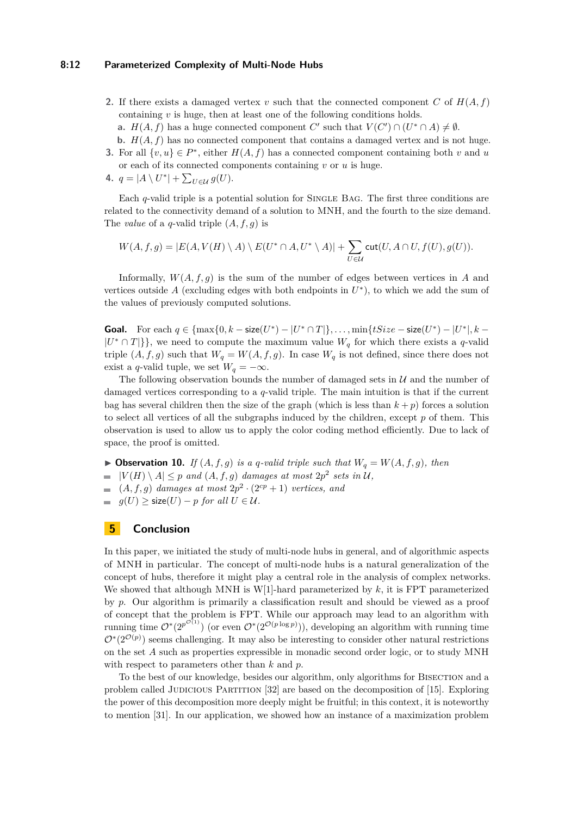#### **8:12 Parameterized Complexity of Multi-Node Hubs**

- **2.** If there exists a damaged vertex *v* such that the connected component *C* of  $H(A, f)$ containing *v* is huge, then at least one of the following conditions holds.
	- **a.**  $H(A, f)$  has a huge connected component *C*' such that  $V(C') \cap (U^* \cap A) \neq \emptyset$ .
- **b.**  $H(A, f)$  has no connected component that contains a damaged vertex and is not huge. **3.** For all  $\{v, u\} \in P^*$ , either  $H(A, f)$  has a connected component containing both *v* and *u*
- or each of its connected components containing *v* or *u* is huge.
- 4.  $q = |A \setminus U^*| + \sum_{U \in \mathcal{U}} g(U).$

Each *q*-valid triple is a potential solution for SINGLE BAG. The first three conditions are related to the connectivity demand of a solution to MNH, and the fourth to the size demand. The *value* of a *q*-valid triple (*A, f, g*) is

$$
W(A,f,g)=|E(A,V(H)\setminus A)\setminus E(U^*\cap A,U^*\setminus A)|+\sum_{U\in\mathcal U}\operatorname{cut}(U,A\cap U,f(U),g(U)).
$$

Informally,  $W(A, f, g)$  is the sum of the number of edges between vertices in *A* and vertices outside  $A$  (excluding edges with both endpoints in  $U^*$ ), to which we add the sum of the values of previously computed solutions.

**Goal.** For each  $q \in \{\max\{0, k - \text{size}(U^*) - |U^* \cap T|\}, \ldots, \min\{tSize - \text{size}(U^*) - |U^*|, k - \}$  $|U^* \cap T|$ }, we need to compute the maximum value  $W_q$  for which there exists a *q*-valid triple  $(A, f, g)$  such that  $W_g = W(A, f, g)$ . In case  $W_g$  is not defined, since there does not exist a *q*-valid tuple, we set  $W_q = -\infty$ .

The following observation bounds the number of damaged sets in  $\mathcal U$  and the number of damaged vertices corresponding to a *q*-valid triple. The main intuition is that if the current bag has several children then the size of the graph (which is less than  $k + p$ ) forces a solution to select all vertices of all the subgraphs induced by the children, except *p* of them. This observation is used to allow us to apply the color coding method efficiently. Due to lack of space, the proof is omitted.

 $\blacktriangleright$  **Observation 10.** *If*  $(A, f, g)$  *is a q-valid triple such that*  $W_q = W(A, f, g)$ *, then*  $|V(H) \setminus A| \leq p$  and  $(A, f, g)$  damages at most  $2p^2$  sets in U,  $(A, f, g)$  *damages at most*  $2p^2 \cdot (2^{cp} + 1)$  *vertices, and*  $\equiv$ *g*(*U*) ≥ size(*U*) − *p for all*  $U \in \mathcal{U}$ *.* 

# **5 Conclusion**

In this paper, we initiated the study of multi-node hubs in general, and of algorithmic aspects of MNH in particular. The concept of multi-node hubs is a natural generalization of the concept of hubs, therefore it might play a central role in the analysis of complex networks. We showed that although MNH is W[1]-hard parameterized by *k*, it is FPT parameterized by *p*. Our algorithm is primarily a classification result and should be viewed as a proof of concept that the problem is FPT. While our approach may lead to an algorithm with running time  $\mathcal{O}^*(2^{p^{\mathcal{O}(1)}})$  (or even  $\mathcal{O}^*(2^{\mathcal{O}(p \log p)})$ ), developing an algorithm with running time  $\mathcal{O}^*(2^{\mathcal{O}(p)})$  seems challenging. It may also be interesting to consider other natural restrictions on the set *A* such as properties expressible in monadic second order logic, or to study MNH with respect to parameters other than *k* and *p*.

To the best of our knowledge, besides our algorithm, only algorithms for Bisection and a problem called JUDICIOUS PARTITION [\[32\]](#page-13-22) are based on the decomposition of [\[15\]](#page-12-16). Exploring the power of this decomposition more deeply might be fruitful; in this context, it is noteworthy to mention [\[31\]](#page-13-23). In our application, we showed how an instance of a maximization problem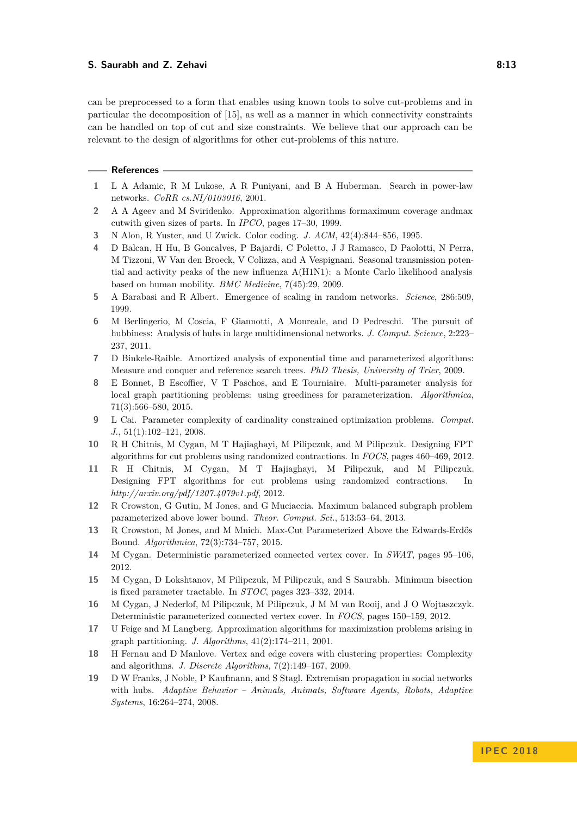can be preprocessed to a form that enables using known tools to solve cut-problems and in particular the decomposition of [\[15\]](#page-12-16), as well as a manner in which connectivity constraints can be handled on top of cut and size constraints. We believe that our approach can be relevant to the design of algorithms for other cut-problems of this nature.

#### **References**

- <span id="page-12-1"></span>**1** L A Adamic, R M Lukose, A R Puniyani, and B A Huberman. Search in power-law networks. *CoRR cs.NI/0103016*, 2001.
- <span id="page-12-8"></span>**2** A A Ageev and M Sviridenko. Approximation algorithms formaximum coverage andmax cutwith given sizes of parts. In *IPCO*, pages 17–30, 1999.
- <span id="page-12-5"></span>**3** N Alon, R Yuster, and U Zwick. Color coding. *J. ACM*, 42(4):844–856, 1995.
- <span id="page-12-4"></span>**4** D Balcan, H Hu, B Goncalves, P Bajardi, C Poletto, J J Ramasco, D Paolotti, N Perra, M Tizzoni, W Van den Broeck, V Colizza, and A Vespignani. Seasonal transmission potential and activity peaks of the new influenza A(H1N1): a Monte Carlo likelihood analysis based on human mobility. *BMC Medicine*, 7(45):29, 2009.
- <span id="page-12-0"></span>**5** A Barabasi and R Albert. Emergence of scaling in random networks. *Science*, 286:509, 1999.
- <span id="page-12-3"></span>**6** M Berlingerio, M Coscia, F Giannotti, A Monreale, and D Pedreschi. The pursuit of hubbiness: Analysis of hubs in large multidimensional networks. *J. Comput. Science*, 2:223– 237, 2011.
- <span id="page-12-12"></span>**7** D Binkele-Raible. Amortized analysis of exponential time and parameterized algorithms: Measure and conquer and reference search trees. *PhD Thesis, University of Trier*, 2009.
- <span id="page-12-11"></span>**8** E Bonnet, B Escoffier, V T Paschos, and E Tourniaire. Multi-parameter analysis for local graph partitioning problems: using greediness for parameterization. *Algorithmica*, 71(3):566–580, 2015.
- <span id="page-12-10"></span>**9** L Cai. Parameter complexity of cardinality constrained optimization problems. *Comput. J.*, 51(1):102–121, 2008.
- <span id="page-12-17"></span>**10** R H Chitnis, M Cygan, M T Hajiaghayi, M Pilipczuk, and M Pilipczuk. Designing FPT algorithms for cut problems using randomized contractions. In *FOCS*, pages 460–469, 2012.
- <span id="page-12-18"></span>**11** R H Chitnis, M Cygan, M T Hajiaghayi, M Pilipczuk, and M Pilipczuk. Designing FPT algorithms for cut problems using randomized contractions. In *http://arxiv.org/pdf/1207.4079v1.pdf*, 2012.
- <span id="page-12-6"></span>**12** R Crowston, G Gutin, M Jones, and G Muciaccia. Maximum balanced subgraph problem parameterized above lower bound. *Theor. Comput. Sci.*, 513:53–64, 2013.
- <span id="page-12-7"></span>**13** R Crowston, M Jones, and M Mnich. Max-Cut Parameterized Above the Edwards-Erdős Bound. *Algorithmica*, 72(3):734–757, 2015.
- <span id="page-12-13"></span>**14** M Cygan. Deterministic parameterized connected vertex cover. In *SWAT*, pages 95–106, 2012.
- <span id="page-12-16"></span>**15** M Cygan, D Lokshtanov, M Pilipczuk, M Pilipczuk, and S Saurabh. Minimum bisection is fixed parameter tractable. In *STOC*, pages 323–332, 2014.
- <span id="page-12-14"></span>**16** M Cygan, J Nederlof, M Pilipczuk, M Pilipczuk, J M M van Rooij, and J O Wojtaszczyk. Deterministic parameterized connected vertex cover. In *FOCS*, pages 150–159, 2012.
- <span id="page-12-9"></span>**17** U Feige and M Langberg. Approximation algorithms for maximization problems arising in graph partitioning. *J. Algorithms*, 41(2):174–211, 2001.
- <span id="page-12-15"></span>**18** H Fernau and D Manlove. Vertex and edge covers with clustering properties: Complexity and algorithms. *J. Discrete Algorithms*, 7(2):149–167, 2009.
- <span id="page-12-2"></span>**19** D W Franks, J Noble, P Kaufmann, and S Stagl. Extremism propagation in social networks with hubs. *Adaptive Behavior – Animals, Animats, Software Agents, Robots, Adaptive Systems*, 16:264–274, 2008.